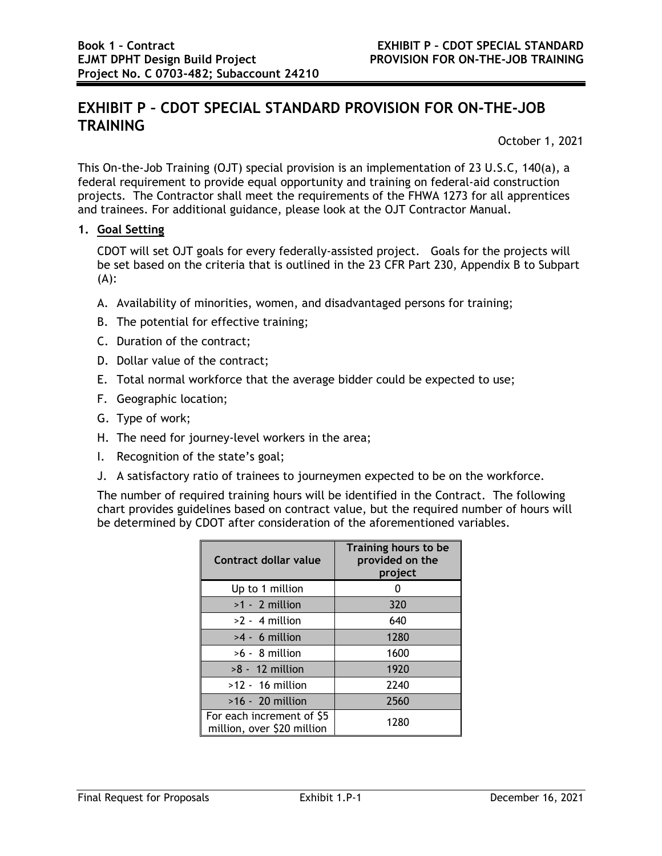# **EXHIBIT P – CDOT SPECIAL STANDARD PROVISION FOR ON-THE-JOB TRAINING**

October 1, 2021

This On-the-Job Training (OJT) special provision is an implementation of 23 U.S.C, 140(a), a federal requirement to provide equal opportunity and training on federal-aid construction projects. The Contractor shall meet the requirements of the FHWA 1273 for all apprentices and trainees. For additional guidance, please look at the OJT Contractor Manual.

## **1. Goal Setting**

CDOT will set OJT goals for every federally-assisted project. Goals for the projects will be set based on the criteria that is outlined in the 23 CFR Part 230, Appendix B to Subpart (A):

- A. Availability of minorities, women, and disadvantaged persons for training;
- B. The potential for effective training;
- C. Duration of the contract;
- D. Dollar value of the contract;
- E. Total normal workforce that the average bidder could be expected to use;
- F. Geographic location;
- G. Type of work;
- H. The need for journey-level workers in the area;
- I. Recognition of the state's goal;
- J. A satisfactory ratio of trainees to journeymen expected to be on the workforce.

The number of required training hours will be identified in the Contract. The following chart provides guidelines based on contract value, but the required number of hours will be determined by CDOT after consideration of the aforementioned variables.

| Contract dollar value                                   | Training hours to be<br>provided on the<br>project |
|---------------------------------------------------------|----------------------------------------------------|
| Up to 1 million                                         |                                                    |
| $>1 - 2$ million                                        | 320                                                |
| $>2 - 4$ million                                        | 640                                                |
| $>4 - 6$ million                                        | 1280                                               |
| $>6 - 8$ million                                        | 1600                                               |
| $>8 - 12$ million                                       | 1920                                               |
| $>12 - 16$ million                                      | 2240                                               |
| $>16 - 20$ million                                      | 2560                                               |
| For each increment of \$5<br>million, over \$20 million | 1280                                               |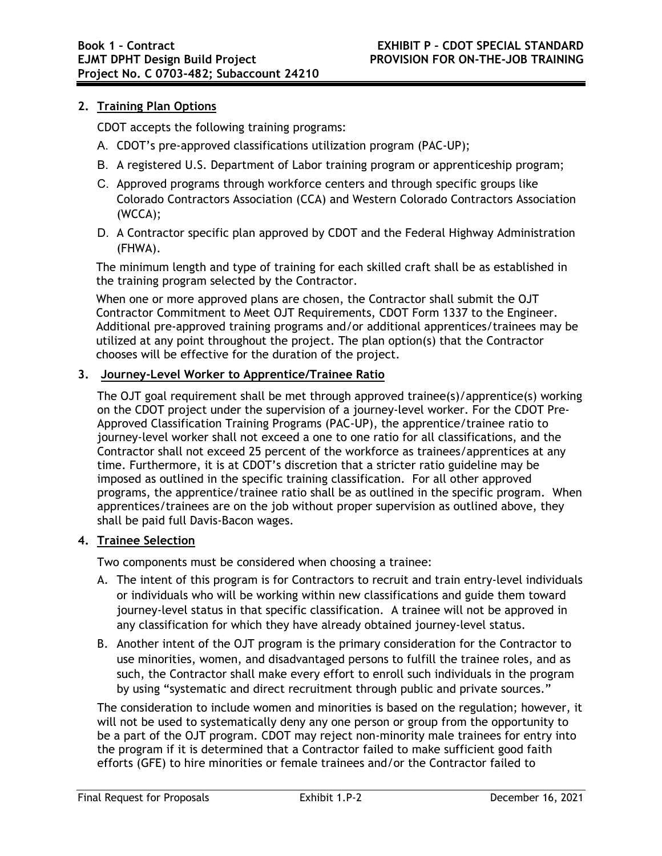# **2. Training Plan Options**

CDOT accepts the following training programs:

- A. CDOT's pre-approved classifications utilization program (PAC-UP);
- B. A registered U.S. Department of Labor training program or apprenticeship program;
- C. Approved programs through workforce centers and through specific groups like Colorado Contractors Association (CCA) and Western Colorado Contractors Association (WCCA);
- D. A Contractor specific plan approved by CDOT and the Federal Highway Administration (FHWA).

The minimum length and type of training for each skilled craft shall be as established in the training program selected by the Contractor.

When one or more approved plans are chosen, the Contractor shall submit the OJT Contractor Commitment to Meet OJT Requirements, CDOT Form 1337 to the Engineer. Additional pre-approved training programs and/or additional apprentices/trainees may be utilized at any point throughout the project. The plan option(s) that the Contractor chooses will be effective for the duration of the project.

### **3. Journey-Level Worker to Apprentice/Trainee Ratio**

The OJT goal requirement shall be met through approved trainee(s)/apprentice(s) working on the CDOT project under the supervision of a journey-level worker. For the CDOT Pre-Approved Classification Training Programs (PAC-UP), the apprentice/trainee ratio to journey-level worker shall not exceed a one to one ratio for all classifications, and the Contractor shall not exceed 25 percent of the workforce as trainees/apprentices at any time. Furthermore, it is at CDOT's discretion that a stricter ratio guideline may be imposed as outlined in the specific training classification. For all other approved programs, the apprentice/trainee ratio shall be as outlined in the specific program. When apprentices/trainees are on the job without proper supervision as outlined above, they shall be paid full Davis-Bacon wages.

## **4. Trainee Selection**

Two components must be considered when choosing a trainee:

- A. The intent of this program is for Contractors to recruit and train entry-level individuals or individuals who will be working within new classifications and guide them toward journey-level status in that specific classification. A trainee will not be approved in any classification for which they have already obtained journey-level status.
- B. Another intent of the OJT program is the primary consideration for the Contractor to use minorities, women, and disadvantaged persons to fulfill the trainee roles, and as such, the Contractor shall make every effort to enroll such individuals in the program by using "systematic and direct recruitment through public and private sources."

The consideration to include women and minorities is based on the regulation; however, it will not be used to systematically deny any one person or group from the opportunity to be a part of the OJT program. CDOT may reject non-minority male trainees for entry into the program if it is determined that a Contractor failed to make sufficient good faith efforts (GFE) to hire minorities or female trainees and/or the Contractor failed to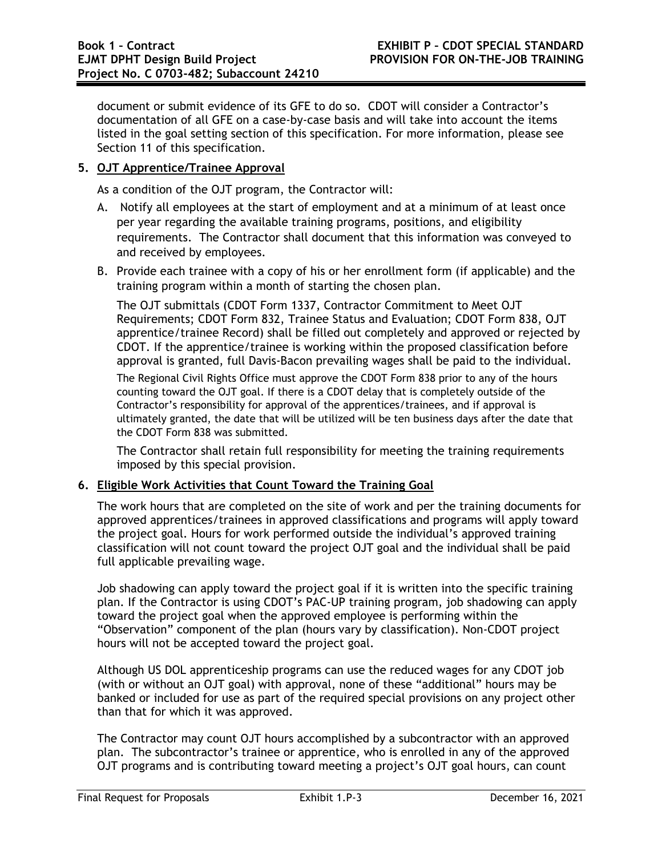document or submit evidence of its GFE to do so. CDOT will consider a Contractor's documentation of all GFE on a case-by-case basis and will take into account the items listed in the goal setting section of this specification. For more information, please see Section 11 of this specification.

## **5. OJT Apprentice/Trainee Approval**

As a condition of the OJT program, the Contractor will:

- A. Notify all employees at the start of employment and at a minimum of at least once per year regarding the available training programs, positions, and eligibility requirements. The Contractor shall document that this information was conveyed to and received by employees.
- B. Provide each trainee with a copy of his or her enrollment form (if applicable) and the training program within a month of starting the chosen plan.

The OJT submittals (CDOT Form 1337, Contractor Commitment to Meet OJT Requirements; CDOT Form 832, Trainee Status and Evaluation; CDOT Form 838, OJT apprentice/trainee Record) shall be filled out completely and approved or rejected by CDOT. If the apprentice/trainee is working within the proposed classification before approval is granted, full Davis-Bacon prevailing wages shall be paid to the individual.

The Regional Civil Rights Office must approve the CDOT Form 838 prior to any of the hours counting toward the OJT goal. If there is a CDOT delay that is completely outside of the Contractor's responsibility for approval of the apprentices/trainees, and if approval is ultimately granted, the date that will be utilized will be ten business days after the date that the CDOT Form 838 was submitted.

The Contractor shall retain full responsibility for meeting the training requirements imposed by this special provision.

## **6. Eligible Work Activities that Count Toward the Training Goal**

The work hours that are completed on the site of work and per the training documents for approved apprentices/trainees in approved classifications and programs will apply toward the project goal. Hours for work performed outside the individual's approved training classification will not count toward the project OJT goal and the individual shall be paid full applicable prevailing wage.

Job shadowing can apply toward the project goal if it is written into the specific training plan. If the Contractor is using CDOT's PAC-UP training program, job shadowing can apply toward the project goal when the approved employee is performing within the "Observation" component of the plan (hours vary by classification). Non-CDOT project hours will not be accepted toward the project goal.

Although US DOL apprenticeship programs can use the reduced wages for any CDOT job (with or without an OJT goal) with approval, none of these "additional" hours may be banked or included for use as part of the required special provisions on any project other than that for which it was approved.

The Contractor may count OJT hours accomplished by a subcontractor with an approved plan. The subcontractor's trainee or apprentice, who is enrolled in any of the approved OJT programs and is contributing toward meeting a project's OJT goal hours, can count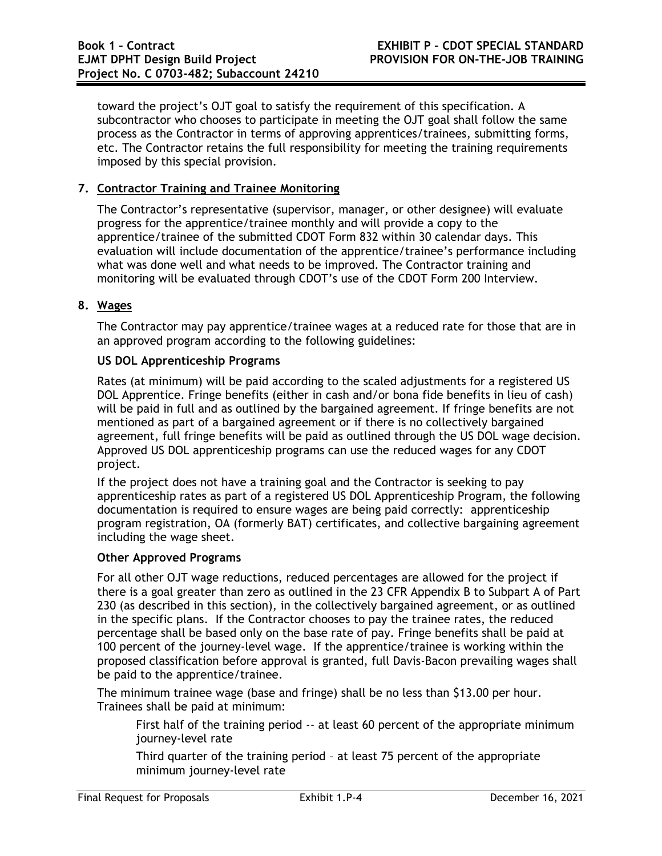toward the project's OJT goal to satisfy the requirement of this specification. A subcontractor who chooses to participate in meeting the OJT goal shall follow the same process as the Contractor in terms of approving apprentices/trainees, submitting forms, etc. The Contractor retains the full responsibility for meeting the training requirements imposed by this special provision.

## **7. Contractor Training and Trainee Monitoring**

The Contractor's representative (supervisor, manager, or other designee) will evaluate progress for the apprentice/trainee monthly and will provide a copy to the apprentice/trainee of the submitted CDOT Form 832 within 30 calendar days. This evaluation will include documentation of the apprentice/trainee's performance including what was done well and what needs to be improved. The Contractor training and monitoring will be evaluated through CDOT's use of the CDOT Form 200 Interview.

#### **8. Wages**

The Contractor may pay apprentice/trainee wages at a reduced rate for those that are in an approved program according to the following guidelines:

#### **US DOL Apprenticeship Programs**

Rates (at minimum) will be paid according to the scaled adjustments for a registered US DOL Apprentice. Fringe benefits (either in cash and/or bona fide benefits in lieu of cash) will be paid in full and as outlined by the bargained agreement. If fringe benefits are not mentioned as part of a bargained agreement or if there is no collectively bargained agreement, full fringe benefits will be paid as outlined through the US DOL wage decision. Approved US DOL apprenticeship programs can use the reduced wages for any CDOT project.

If the project does not have a training goal and the Contractor is seeking to pay apprenticeship rates as part of a registered US DOL Apprenticeship Program, the following documentation is required to ensure wages are being paid correctly: apprenticeship program registration, OA (formerly BAT) certificates, and collective bargaining agreement including the wage sheet.

#### **Other Approved Programs**

For all other OJT wage reductions, reduced percentages are allowed for the project if there is a goal greater than zero as outlined in the 23 CFR Appendix B to Subpart A of Part 230 (as described in this section), in the collectively bargained agreement, or as outlined in the specific plans. If the Contractor chooses to pay the trainee rates, the reduced percentage shall be based only on the base rate of pay. Fringe benefits shall be paid at 100 percent of the journey-level wage. If the apprentice/trainee is working within the proposed classification before approval is granted, full Davis-Bacon prevailing wages shall be paid to the apprentice/trainee.

The minimum trainee wage (base and fringe) shall be no less than \$13.00 per hour. Trainees shall be paid at minimum:

First half of the training period -- at least 60 percent of the appropriate minimum journey-level rate

Third quarter of the training period – at least 75 percent of the appropriate minimum journey-level rate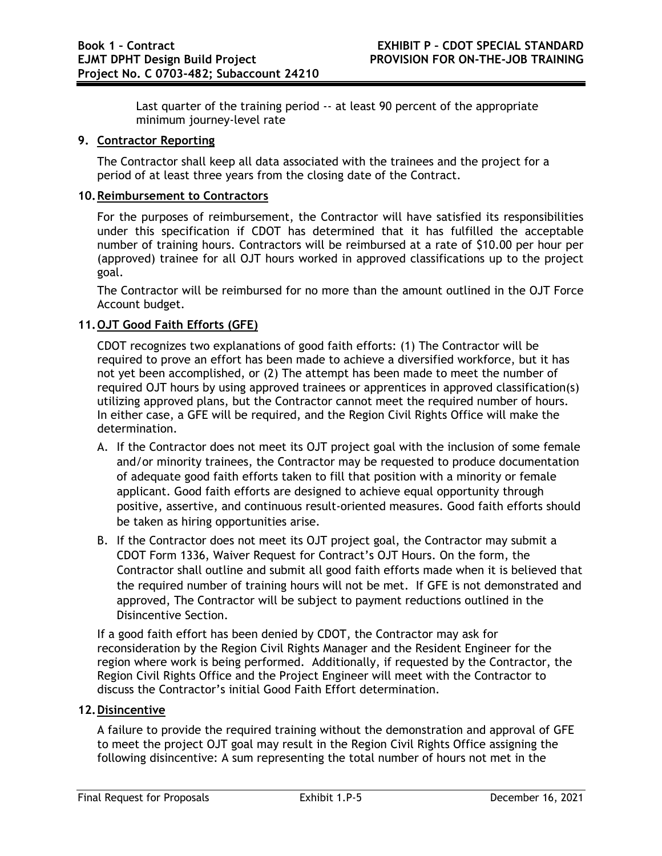Last quarter of the training period -- at least 90 percent of the appropriate minimum journey-level rate

## **9. Contractor Reporting**

The Contractor shall keep all data associated with the trainees and the project for a period of at least three years from the closing date of the Contract.

# **10.Reimbursement to Contractors**

For the purposes of reimbursement, the Contractor will have satisfied its responsibilities under this specification if CDOT has determined that it has fulfilled the acceptable number of training hours. Contractors will be reimbursed at a rate of \$10.00 per hour per (approved) trainee for all OJT hours worked in approved classifications up to the project goal.

The Contractor will be reimbursed for no more than the amount outlined in the OJT Force Account budget.

## **11.OJT Good Faith Efforts (GFE)**

CDOT recognizes two explanations of good faith efforts: (1) The Contractor will be required to prove an effort has been made to achieve a diversified workforce, but it has not yet been accomplished, or (2) The attempt has been made to meet the number of required OJT hours by using approved trainees or apprentices in approved classification(s) utilizing approved plans, but the Contractor cannot meet the required number of hours. In either case, a GFE will be required, and the Region Civil Rights Office will make the determination.

- A. If the Contractor does not meet its OJT project goal with the inclusion of some female and/or minority trainees, the Contractor may be requested to produce documentation of adequate good faith efforts taken to fill that position with a minority or female applicant. Good faith efforts are designed to achieve equal opportunity through positive, assertive, and continuous result-oriented measures. Good faith efforts should be taken as hiring opportunities arise.
- B. If the Contractor does not meet its OJT project goal, the Contractor may submit a CDOT Form 1336, Waiver Request for Contract's OJT Hours. On the form, the Contractor shall outline and submit all good faith efforts made when it is believed that the required number of training hours will not be met. If GFE is not demonstrated and approved, The Contractor will be subject to payment reductions outlined in the Disincentive Section.

If a good faith effort has been denied by CDOT, the Contractor may ask for reconsideration by the Region Civil Rights Manager and the Resident Engineer for the region where work is being performed. Additionally, if requested by the Contractor, the Region Civil Rights Office and the Project Engineer will meet with the Contractor to discuss the Contractor's initial Good Faith Effort determination.

# **12. Disincentive**

A failure to provide the required training without the demonstration and approval of GFE to meet the project OJT goal may result in the Region Civil Rights Office assigning the following disincentive: A sum representing the total number of hours not met in the